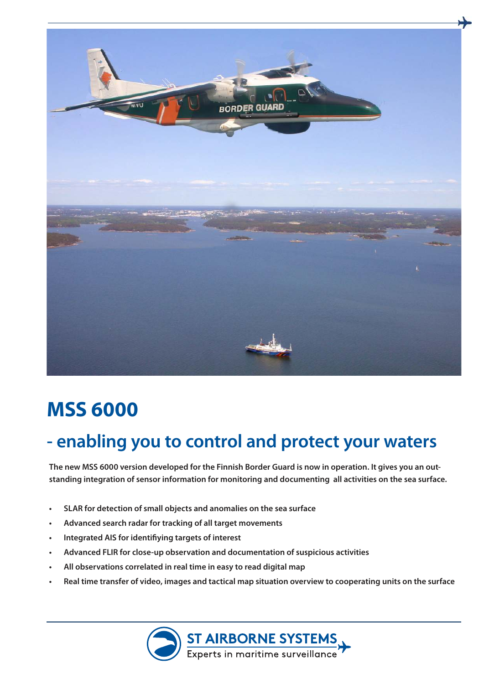

## **MSS 6000**

## **- enabling you to control and protect your waters**

**The new MSS 6000 version developed for the Finnish Border Guard is now in operation. It gives you an outstanding integration of sensor information for monitoring and documenting all activities on the sea surface.**

- **SLAR for detection of small objects and anomalies on the sea surface**
- **• Advanced search radar for tracking of all target movements**
- **Integrated AIS for identifiying targets of interest**
- **• Advanced FLIR for close-up observation and documentation of suspicious activities**
- **• All observations correlated in real time in easy to read digital map**
- Real time transfer of video, images and tactical map situation overview to cooperating units on the surface